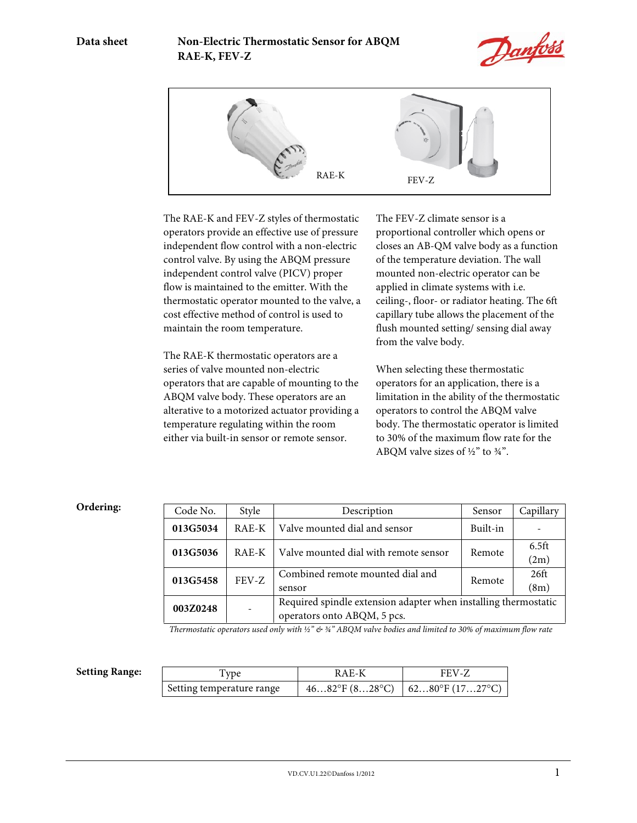



The RAE-K and FEV-Z styles of thermostatic operators provide an effective use of pressure independent flow control with a non-electric control valve. By using the ABQM pressure independent control valve (PICV) proper flow is maintained to the emitter. With the thermostatic operator mounted to the valve, a cost effective method of control is used to maintain the room temperature.

The RAE-K thermostatic operators are a series of valve mounted non-electric operators that are capable of mounting to the ABQM valve body. These operators are an alterative to a motorized actuator providing a temperature regulating within the room either via built-in sensor or remote sensor.

The FEV-Z climate sensor is a proportional controller which opens or closes an AB-QM valve body as a function of the temperature deviation. The wall mounted non-electric operator can be applied in climate systems with i.e. ceiling-, floor- or radiator heating. The 6ft capillary tube allows the placement of the flush mounted setting/ sensing dial away from the valve body.

When selecting these thermostatic operators for an application, there is a limitation in the ability of the thermostatic operators to control the ABQM valve body. The thermostatic operator is limited to 30% of the maximum flow rate for the ABQM valve sizes of  $\frac{1}{2}$ " to  $\frac{3}{4}$ ".

## **Ordering:**

| Code No. | Style   | Description<br>Sensor                                           |          | Capillary         |
|----------|---------|-----------------------------------------------------------------|----------|-------------------|
| 013G5034 | RAE-K   | Valve mounted dial and sensor                                   | Built-in |                   |
| 013G5036 | $RAE-K$ | Valve mounted dial with remote sensor                           | Remote   | 6.5 <sub>ft</sub> |
|          |         |                                                                 |          | (2m)              |
| 013G5458 | FEV-Z   | Combined remote mounted dial and                                | Remote   | 26 <sup>ft</sup>  |
|          |         | sensor                                                          |          | (8m)              |
| 003Z0248 |         | Required spindle extension adapter when installing thermostatic |          |                   |
|          |         | operators onto ABQM, 5 pcs.                                     |          |                   |

*Thermostatic operators used only with ½" & ¾" ABQM valve bodies and limited to 30% of maximum flow rate* 

| <b>Setting Range:</b> | i vpe                     | RAE-K | FEV-Z                                             |
|-----------------------|---------------------------|-------|---------------------------------------------------|
|                       | Setting temperature range |       | $4682$ °F $(828$ °C $)$ $(6280$ °F $(1727$ °C $)$ |